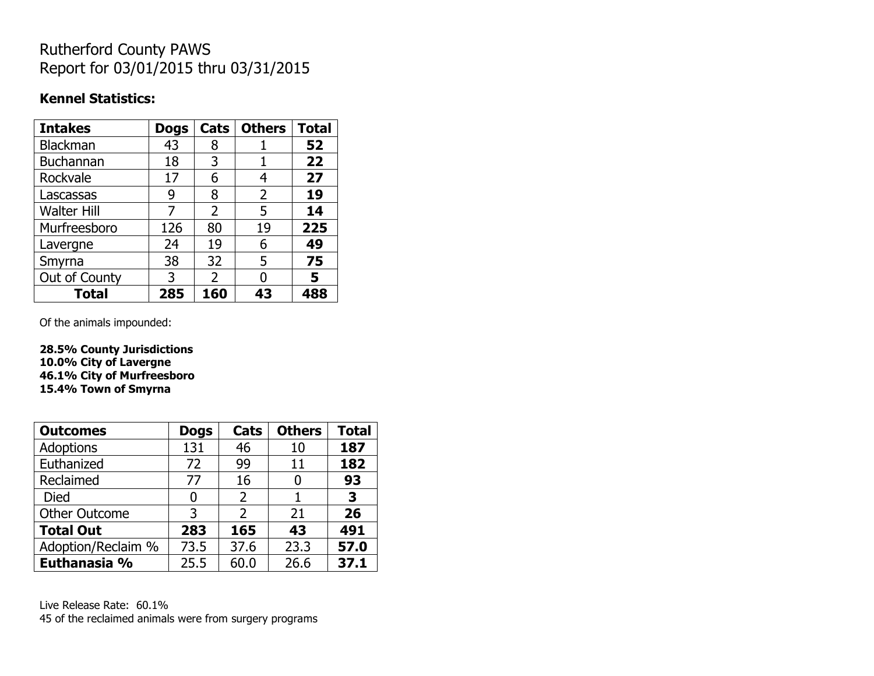# Rutherford County PAWS Report for 03/01/2015 thru 03/31/2015

#### **Kennel Statistics:**

| <b>Intakes</b>     | <b>Dogs</b> | Cats           | <b>Others</b> | <b>Total</b> |
|--------------------|-------------|----------------|---------------|--------------|
| <b>Blackman</b>    | 43          | 8              |               | 52           |
| <b>Buchannan</b>   | 18          | 3              |               | 22           |
| Rockvale           | 17          | 6              | 4             | 27           |
| Lascassas          | 9           | 8              | 2             | 19           |
| <b>Walter Hill</b> |             | $\overline{2}$ | 5             | 14           |
| Murfreesboro       | 126         | 80             | 19            | 225          |
| Lavergne           | 24          | 19             | 6             | 49           |
| Smyrna             | 38          | 32             | 5             | 75           |
| Out of County      | 3           | $\overline{2}$ | O             | 5            |
| Total              | 285         | 160            | 43            | 488          |

Of the animals impounded:

**28.5% County Jurisdictions 10.0% City of Lavergne 46.1% City of Murfreesboro 15.4% Town of Smyrna**

| <b>Outcomes</b>      | <b>Dogs</b> | <b>Cats</b>   | <b>Others</b> | <b>Total</b> |
|----------------------|-------------|---------------|---------------|--------------|
| <b>Adoptions</b>     | 131         | 46            | 10            | 187          |
| Euthanized           | 72          | 99            | 11            | 182          |
| Reclaimed            | 77          | 16            | 0             | 93           |
| <b>Died</b>          | 0           | 2             |               | 3            |
| <b>Other Outcome</b> | 3           | $\mathcal{P}$ | 21            | 26           |
| <b>Total Out</b>     | 283         | 165           | 43            | 491          |
| Adoption/Reclaim %   | 73.5        | 37.6          | 23.3          | 57.0         |
| Euthanasia %         | 25.5        | 60.0          | 26.6          | 37.1         |

Live Release Rate: 60.1% 45 of the reclaimed animals were from surgery programs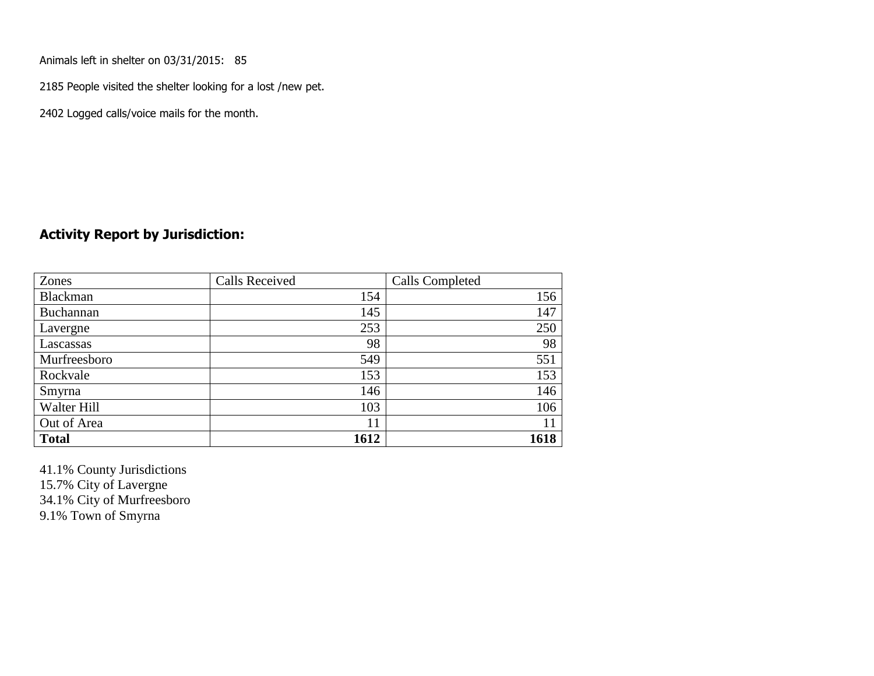Animals left in shelter on 03/31/2015: 85

2185 People visited the shelter looking for a lost /new pet.

2402 Logged calls/voice mails for the month.

#### **Activity Report by Jurisdiction:**

| Zones           | <b>Calls Received</b> | Calls Completed |
|-----------------|-----------------------|-----------------|
| <b>Blackman</b> | 154                   | 156             |
| Buchannan       | 145                   | 147             |
| Lavergne        | 253                   | 250             |
| Lascassas       | 98                    | 98              |
| Murfreesboro    | 549                   | 551             |
| Rockvale        | 153                   | 153             |
| Smyrna          | 146                   | 146             |
| Walter Hill     | 103                   | 106             |
| Out of Area     | 11                    | 11              |
| <b>Total</b>    | 1612                  | 1618            |

41.1% County Jurisdictions 15.7% City of Lavergne 34.1% City of Murfreesboro

9.1% Town of Smyrna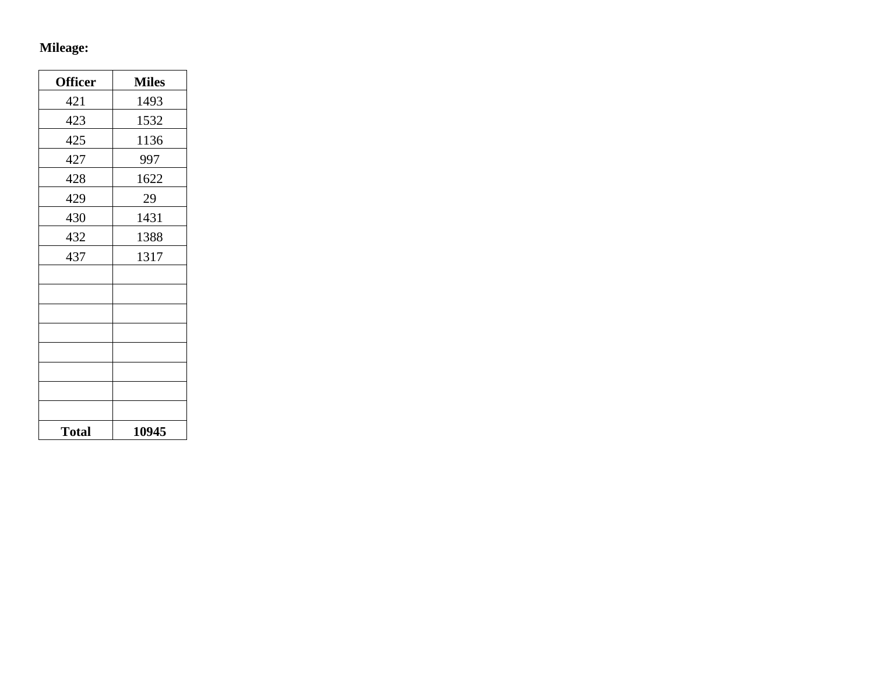# **Mileage:**

| <b>Officer</b> | <b>Miles</b> |
|----------------|--------------|
| 421            | 1493         |
| 423            | 1532         |
| 425            | 1136         |
| 427            | 997          |
| 428            | 1622         |
| 429            | 29           |
| 430            | 1431         |
| 432            | 1388         |
| 437            | 1317         |
|                |              |
|                |              |
|                |              |
|                |              |
|                |              |
|                |              |
|                |              |
|                |              |
| <b>Total</b>   | 10945        |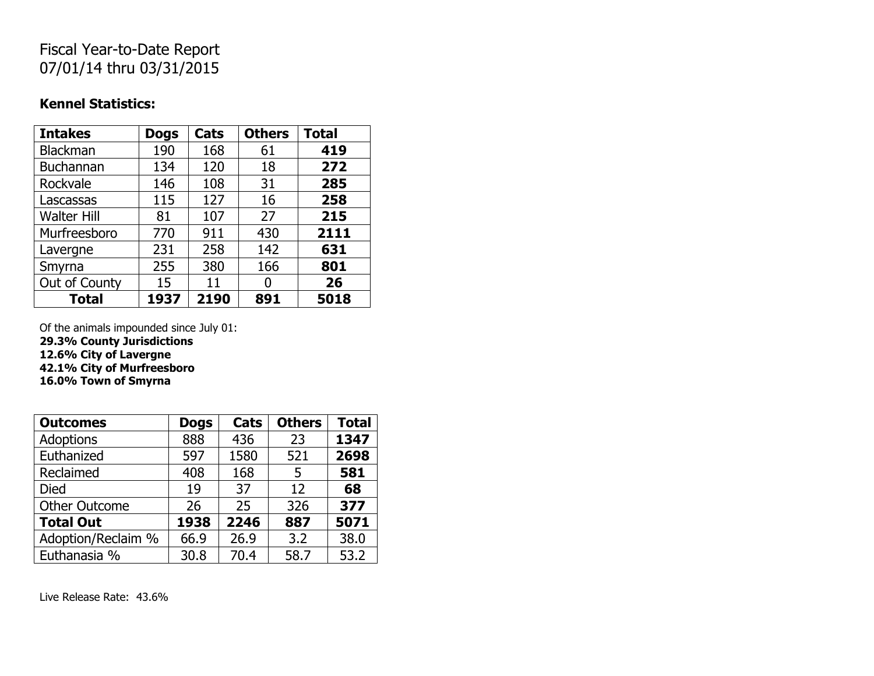## Fiscal Year-to-Date Report 07/01/14 thru 03/31/2015

#### **Kennel Statistics:**

| <b>Intakes</b>     | <b>Dogs</b> | Cats | <b>Others</b> | <b>Total</b> |
|--------------------|-------------|------|---------------|--------------|
| <b>Blackman</b>    | 190         | 168  | 61            | 419          |
| Buchannan          | 134         | 120  | 18            | 272          |
| Rockvale           | 146         | 108  | 31            | 285          |
| Lascassas          | 115         | 127  | 16            | 258          |
| <b>Walter Hill</b> | 81          | 107  | 27            | 215          |
| Murfreesboro       | 770         | 911  | 430           | 2111         |
| Lavergne           | 231         | 258  | 142           | 631          |
| Smyrna             | 255         | 380  | 166           | 801          |
| Out of County      | 15          | 11   |               | 26           |
| <b>Total</b>       | 1937        | 2190 | 891           | 5018         |

Of the animals impounded since July 01:

**29.3% County Jurisdictions**

**12.6% City of Lavergne**

**42.1% City of Murfreesboro**

**16.0% Town of Smyrna**

| <b>Outcomes</b>      | <b>Dogs</b> | Cats | <b>Others</b> | <b>Total</b> |
|----------------------|-------------|------|---------------|--------------|
| Adoptions            | 888         | 436  | 23            | 1347         |
| Euthanized           | 597         | 1580 | 521           | 2698         |
| Reclaimed            | 408         | 168  | 5             | 581          |
| <b>Died</b>          | 19          | 37   | 12            | 68           |
| <b>Other Outcome</b> | 26          | 25   | 326           | 377          |
| <b>Total Out</b>     | 1938        | 2246 | 887           | 5071         |
| Adoption/Reclaim %   | 66.9        | 26.9 | 3.2           | 38.0         |
| Euthanasia %         | 30.8        | 70.4 | 58.7          | 53.2         |

Live Release Rate: 43.6%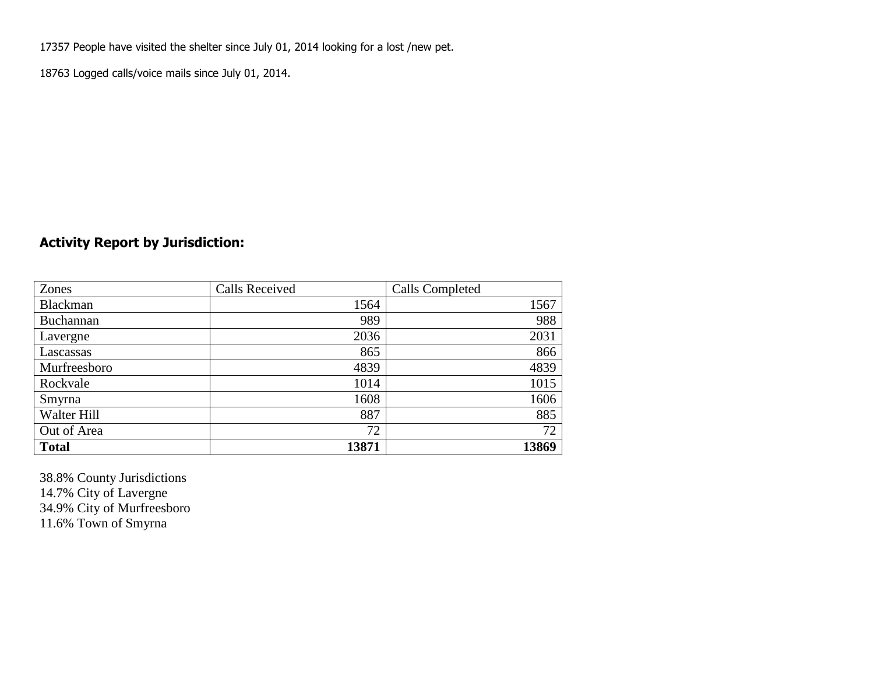17357 People have visited the shelter since July 01, 2014 looking for a lost /new pet.

18763 Logged calls/voice mails since July 01, 2014.

### **Activity Report by Jurisdiction:**

| Zones           | <b>Calls Received</b> | Calls Completed |
|-----------------|-----------------------|-----------------|
| <b>Blackman</b> | 1564                  | 1567            |
| Buchannan       | 989                   | 988             |
| Lavergne        | 2036                  | 2031            |
| Lascassas       | 865                   | 866             |
| Murfreesboro    | 4839                  | 4839            |
| Rockvale        | 1014                  | 1015            |
| Smyrna          | 1608                  | 1606            |
| Walter Hill     | 887                   | 885             |
| Out of Area     | 72                    | 72              |
| <b>Total</b>    | 13871                 | 13869           |

38.8% County Jurisdictions 14.7% City of Lavergne 34.9% City of Murfreesboro 11.6% Town of Smyrna